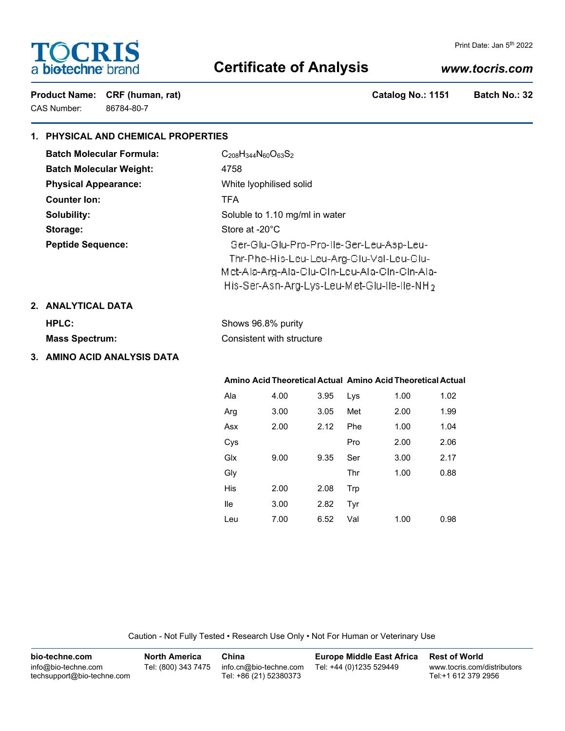# **TOCRIS** a biotechne brand

#### Print Date: Jan 5<sup>th</sup> 2022

# **Certificate of Analysis**

# *www.tocris.com*

Product Name: CRF (human, rat) **Catalog No.: 1151** Batch No.: 32 CAS Number: 86784-80-7

# **1. PHYSICAL AND CHEMICAL PROPERTIES**

| <b>Batch Molecular Formula:</b> | $C_{208}H_{344}N_{60}O_{63}S_2$                         |
|---------------------------------|---------------------------------------------------------|
| <b>Batch Molecular Weight:</b>  | 4758                                                    |
| <b>Physical Appearance:</b>     | White Iyophilised solid                                 |
| <b>Counter lon:</b>             | <b>TFA</b>                                              |
| Solubility:                     | Soluble to 1.10 mg/ml in water                          |
| Storage:                        | Store at -20°C                                          |
| <b>Peptide Sequence:</b>        | Ser-Glu-Glu-Pro-Pro-Ile-Ser-Leu-Asp-Leu-                |
|                                 | Thr-Phe-His-Leu-Leu-Arg-Glu-Val-Leu-Glu-                |
|                                 | Met-Ala-Arg-Ala-Glu-Gin-Leu-Ala-Gin-Gin-Ala-            |
|                                 | His-Ser-Asn-Arg-Lys-Leu-Met-Glu-Ile-Ile-NH <sub>2</sub> |

# **2. ANALYTICAL DATA**

| HPLC:                 | Shows 96.8% purity        |  |  |
|-----------------------|---------------------------|--|--|
| <b>Mass Spectrum:</b> | Consistent with structure |  |  |

# **3. AMINO ACID ANALYSIS DATA**

|     |      |      | Amino Acid Theoretical Actual Amino Acid Theoretical Actual |      |      |
|-----|------|------|-------------------------------------------------------------|------|------|
| Ala | 4.00 | 3.95 | Lys                                                         | 1.00 | 1.02 |
| Arg | 3.00 | 3.05 | Met                                                         | 2.00 | 1.99 |
| Asx | 2.00 | 2.12 | Phe                                                         | 1.00 | 1.04 |
| Cys |      |      | Pro                                                         | 2.00 | 2.06 |
| Glx | 9.00 | 9.35 | Ser                                                         | 3.00 | 2.17 |
| Gly |      |      | Thr                                                         | 1.00 | 0.88 |
| His | 2.00 | 2.08 | Trp                                                         |      |      |
| lle | 3.00 | 2.82 | Tyr                                                         |      |      |
| Leu | 7.00 | 6.52 | Val                                                         | 1.00 | 0.98 |

Caution - Not Fully Tested • Research Use Only • Not For Human or Veterinary Use

| bio-techne.com                                    | <b>North America</b> | China                                            | <b>Europe Middle East Africa</b> | <b>Rest of World</b>                               |
|---------------------------------------------------|----------------------|--------------------------------------------------|----------------------------------|----------------------------------------------------|
| info@bio-techne.com<br>techsupport@bio-techne.com | Tel: (800) 343 7475  | info.cn@bio-techne.com<br>Tel: +86 (21) 52380373 | Tel: +44 (0)1235 529449          | www.tocris.com/distributors<br>Tel:+1 612 379 2956 |